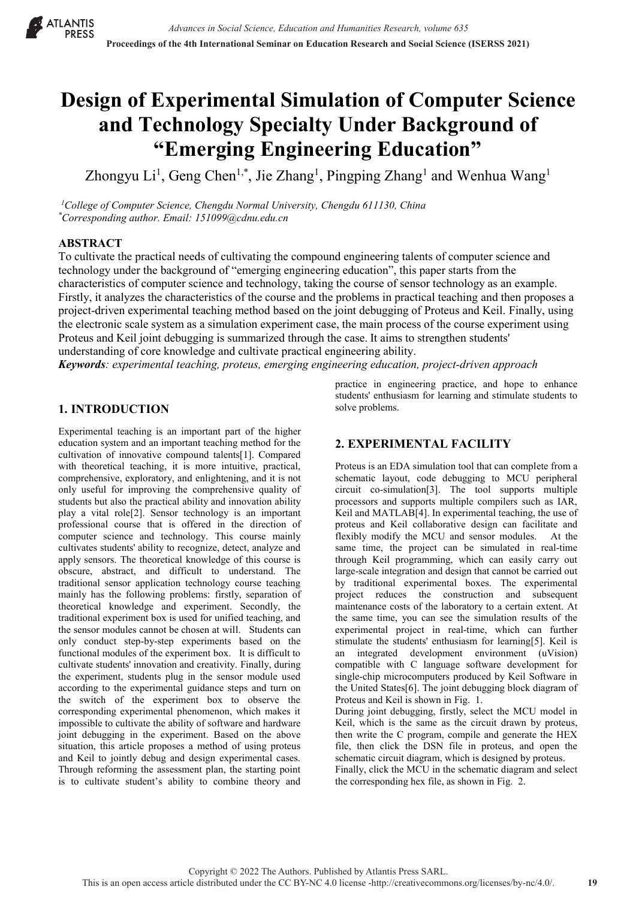**X** ATLANTIS PRESS

# **Design of Experimental Simulation of Computer Science and Technology Specialty Under Background of "Emerging Engineering Education"**

Zhongyu Li<sup>1</sup>, Geng Chen<sup>1,\*</sup>, Jie Zhang<sup>1</sup>, Pingping Zhang<sup>1</sup> and Wenhua Wang<sup>1</sup>

*1 College of Computer Science, Chengdu Normal University, Chengdu 611130, China \* Corresponding author. Email: 151099@cdnu.edu.cn*

#### **ABSTRACT**

To cultivate the practical needs of cultivating the compound engineering talents of computer science and technology under the background of "emerging engineering education", this paper starts from the characteristics of computer science and technology, taking the course of sensor technology as an example. Firstly, it analyzes the characteristics of the course and the problems in practical teaching and then proposes a project-driven experimental teaching method based on the joint debugging of Proteus and Keil. Finally, using the electronic scale system as a simulation experiment case, the main process of the course experiment using Proteus and Keil joint debugging is summarized through the case. It aims to strengthen students' understanding of core knowledge and cultivate practical engineering ability.

*Keywords: experimental teaching, proteus, emerging engineering education, project-driven approach*

## **1. INTRODUCTION**

Experimental teaching is an important part of the higher education system and an important teaching method for the cultivation of innovative compound talents[1]. Compared with theoretical teaching, it is more intuitive, practical, comprehensive, exploratory, and enlightening, and it is not only useful for improving the comprehensive quality of students but also the practical ability and innovation ability play a vital role[2]. Sensor technology is an important professional course that is offered in the direction of computer science and technology. This course mainly cultivates students' ability to recognize, detect, analyze and apply sensors. The theoretical knowledge of this course is obscure, abstract, and difficult to understand. The traditional sensor application technology course teaching mainly has the following problems: firstly, separation of theoretical knowledge and experiment. Secondly, the traditional experiment box is used for unified teaching, and the sensor modules cannot be chosen at will. Students can only conduct step-by-step experiments based on the functional modules of the experiment box. It is difficult to cultivate students' innovation and creativity. Finally, during the experiment, students plug in the sensor module used according to the experimental guidance steps and turn on the switch of the experiment box to observe the corresponding experimental phenomenon, which makes it impossible to cultivate the ability of software and hardware joint debugging in the experiment. Based on the above situation, this article proposes a method of using proteus and Keil to jointly debug and design experimental cases. Through reforming the assessment plan, the starting point is to cultivate student's ability to combine theory and

practice in engineering practice, and hope to enhance students' enthusiasm for learning and stimulate students to solve problems.

# **2. EXPERIMENTAL FACILITY**

Proteus is an EDA simulation tool that can complete from a schematic layout, code debugging to MCU peripheral circuit co-simulation[3]. The tool supports multiple processors and supports multiple compilers such as IAR, Keil and MATLAB[4]. In experimental teaching, the use of proteus and Keil collaborative design can facilitate and flexibly modify the MCU and sensor modules. At the same time, the project can be simulated in real-time through Keil programming, which can easily carry out large-scale integration and design that cannot be carried out by traditional experimental boxes. The experimental project reduces the construction and subsequent maintenance costs of the laboratory to a certain extent. At the same time, you can see the simulation results of the experimental project in real-time, which can further stimulate the students' enthusiasm for learning[5]. Keil is an integrated development environment (uVision) compatible with C language software development for single-chip microcomputers produced by Keil Software in the United States[6]. The joint debugging block diagram of Proteus and Keil is shown in Fig. 1.

During joint debugging, firstly, select the MCU model in Keil, which is the same as the circuit drawn by proteus, then write the C program, compile and generate the HEX file, then click the DSN file in proteus, and open the schematic circuit diagram, which is designed by proteus.

Finally, click the MCU in the schematic diagram and select the corresponding hex file, as shown in Fig. 2.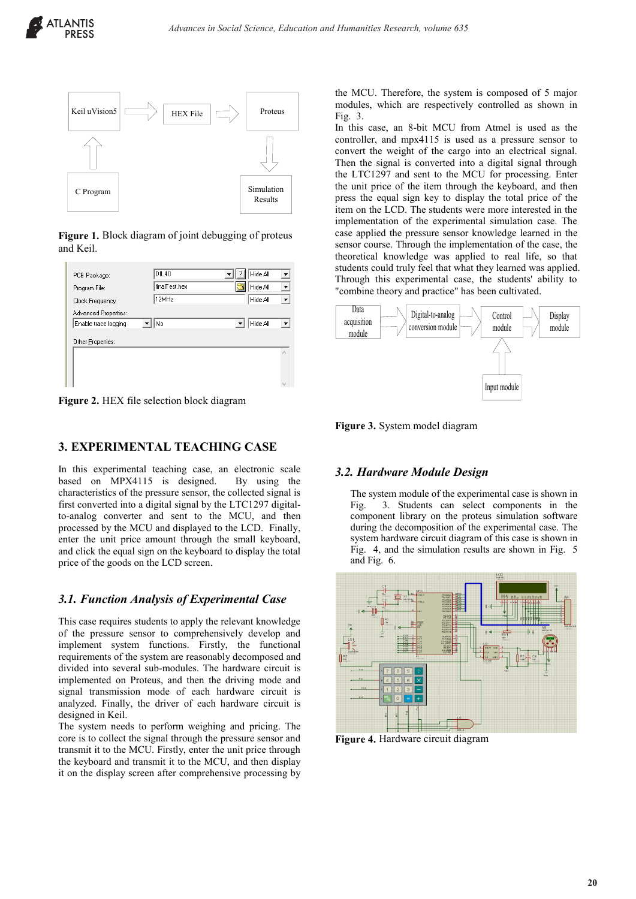

**Figure 1.** Block diagram of joint debugging of proteus and Keil.

| PCB Package:         | DIL40         | Hide All<br>▼ |
|----------------------|---------------|---------------|
| Program File:        | finalTest.hex | Hide All<br>▼ |
| Clock Frequency:     | 12MHz         | Hide All      |
| Advanced Properties: |               |               |
| Enable trace logging | No            | Hide All<br>▼ |
| Other Properties:    |               |               |
|                      |               | ٨             |
|                      |               |               |
|                      |               |               |

**Figure 2.** HEX file selection block diagram

## **3. EXPERIMENTAL TEACHING CASE**

In this experimental teaching case, an electronic scale based on MPX4115 is designed. By using the characteristics of the pressure sensor, the collected signal is first converted into a digital signal by the LTC1297 digitalto-analog converter and sent to the MCU, and then processed by the MCU and displayed to the LCD. Finally, enter the unit price amount through the small keyboard, and click the equal sign on the keyboard to display the total price of the goods on the LCD screen.

## *3.1. Function Analysis of Experimental Case*

This case requires students to apply the relevant knowledge of the pressure sensor to comprehensively develop and implement system functions. Firstly, the functional requirements of the system are reasonably decomposed and divided into several sub-modules. The hardware circuit is implemented on Proteus, and then the driving mode and signal transmission mode of each hardware circuit is analyzed. Finally, the driver of each hardware circuit is designed in Keil.

The system needs to perform weighing and pricing. The core is to collect the signal through the pressure sensor and transmit it to the MCU. Firstly, enter the unit price through the keyboard and transmit it to the MCU, and then display it on the display screen after comprehensive processing by

the MCU. Therefore, the system is composed of 5 major modules, which are respectively controlled as shown in Fig. 3.

In this case, an 8-bit MCU from Atmel is used as the controller, and mpx4115 is used as a pressure sensor to convert the weight of the cargo into an electrical signal. Then the signal is converted into a digital signal through the LTC1297 and sent to the MCU for processing. Enter the unit price of the item through the keyboard, and then press the equal sign key to display the total price of the item on the LCD. The students were more interested in the implementation of the experimental simulation case. The case applied the pressure sensor knowledge learned in the sensor course. Through the implementation of the case, the theoretical knowledge was applied to real life, so that students could truly feel that what they learned was applied. Through this experimental case, the students' ability to "combine theory and practice" has been cultivated.



**Figure 3.** System model diagram

# *3.2. Hardware Module Design*

The system module of the experimental case is shown in Fig. 3. Students can select components in the component library on the proteus simulation software during the decomposition of the experimental case. The system hardware circuit diagram of this case is shown in Fig. 4, and the simulation results are shown in Fig. 5 and Fig. 6.



**Figure 4.** Hardware circuit diagram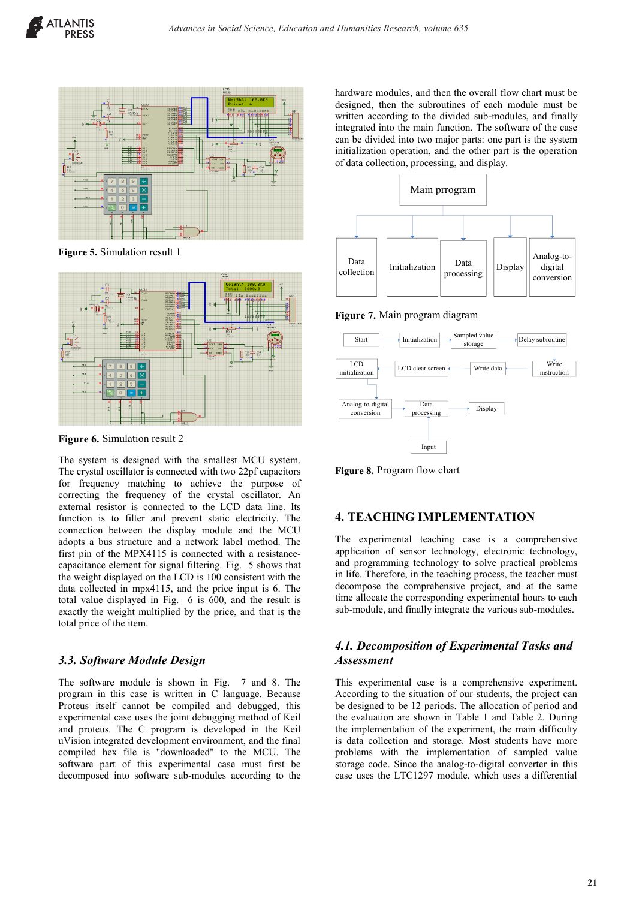

**Figure 5.** Simulation result 1



**Figure 6.** Simulation result 2

The system is designed with the smallest MCU system. The crystal oscillator is connected with two 22pf capacitors for frequency matching to achieve the purpose of correcting the frequency of the crystal oscillator. An external resistor is connected to the LCD data line. Its function is to filter and prevent static electricity. The connection between the display module and the MCU adopts a bus structure and a network label method. The first pin of the MPX4115 is connected with a resistancecapacitance element for signal filtering. Fig. 5 shows that the weight displayed on the LCD is 100 consistent with the data collected in mpx4115, and the price input is 6. The total value displayed in Fig. 6 is 600, and the result is exactly the weight multiplied by the price, and that is the total price of the item.

## *3.3. Software Module Design*

The software module is shown in Fig. 7 and 8. The program in this case is written in C language. Because Proteus itself cannot be compiled and debugged, this experimental case uses the joint debugging method of Keil and proteus. The C program is developed in the Keil uVision integrated development environment, and the final compiled hex file is "downloaded" to the MCU. The software part of this experimental case must first be decomposed into software sub-modules according to the hardware modules, and then the overall flow chart must be designed, then the subroutines of each module must be written according to the divided sub-modules, and finally integrated into the main function. The software of the case can be divided into two major parts: one part is the system initialization operation, and the other part is the operation of data collection, processing, and display.



**Figure 7.** Main program diagram



**Figure 8.** Program flow chart

#### **4. TEACHING IMPLEMENTATION**

The experimental teaching case is a comprehensive application of sensor technology, electronic technology, and programming technology to solve practical problems in life. Therefore, in the teaching process, the teacher must decompose the comprehensive project, and at the same time allocate the corresponding experimental hours to each sub-module, and finally integrate the various sub-modules.

## *4.1. Decomposition of Experimental Tasks and Assessment*

This experimental case is a comprehensive experiment. According to the situation of our students, the project can be designed to be 12 periods. The allocation of period and the evaluation are shown in Table 1 and Table 2. During the implementation of the experiment, the main difficulty is data collection and storage. Most students have more problems with the implementation of sampled value storage code. Since the analog-to-digital converter in this case uses the LTC1297 module, which uses a differential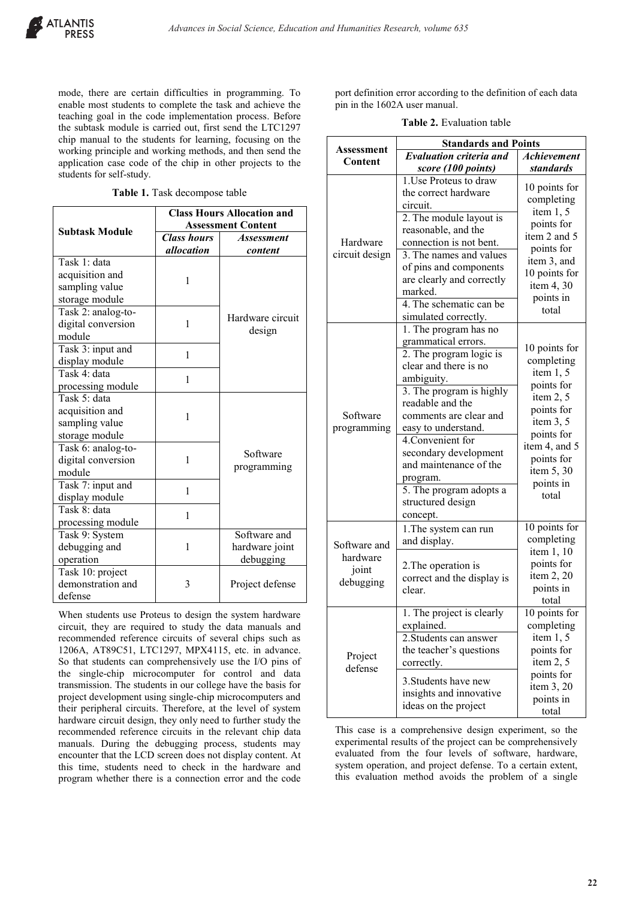mode, there are certain difficulties in programming. To enable most students to complete the task and achieve the teaching goal in the code implementation process. Before the subtask module is carried out, first send the LTC1297 chip manual to the students for learning, focusing on the working principle and working methods, and then send the application case code of the chip in other projects to the students for self-study.

**Table 1.** Task decompose table

|                       | <b>Class Hours Allocation and</b> |                            |  |
|-----------------------|-----------------------------------|----------------------------|--|
| <b>Subtask Module</b> | <b>Assessment Content</b>         |                            |  |
|                       | <b>Class hours</b>                | <b>Assessment</b>          |  |
|                       | allocation                        | content                    |  |
| Task 1: data          |                                   |                            |  |
| acquisition and       | 1                                 |                            |  |
| sampling value        |                                   |                            |  |
| storage module        |                                   |                            |  |
| Task 2: analog-to-    |                                   | Hardware circuit<br>design |  |
| digital conversion    | 1                                 |                            |  |
| module                |                                   |                            |  |
| Task 3: input and     | 1                                 |                            |  |
| display module        |                                   |                            |  |
| Task 4: data          | 1                                 |                            |  |
| processing module     |                                   |                            |  |
| Task 5: data          |                                   |                            |  |
| acquisition and       | 1                                 | Software                   |  |
| sampling value        |                                   |                            |  |
| storage module        |                                   |                            |  |
| Task 6: analog-to-    |                                   |                            |  |
| digital conversion    | 1                                 |                            |  |
| module                |                                   | programming                |  |
| Task 7: input and     | 1                                 |                            |  |
| display module        |                                   |                            |  |
| Task 8: data          | 1                                 |                            |  |
| processing module     |                                   |                            |  |
| Task 9: System        |                                   | Software and               |  |
| debugging and         | 1                                 | hardware joint             |  |
| operation             |                                   | debugging                  |  |
| Task 10: project      |                                   |                            |  |
| demonstration and     | 3                                 | Project defense            |  |
| defense               |                                   |                            |  |

When students use Proteus to design the system hardware circuit, they are required to study the data manuals and recommended reference circuits of several chips such as 1206A, AT89C51, LTC1297, MPX4115, etc. in advance. So that students can comprehensively use the I/O pins of the single-chip microcomputer for control and data transmission. The students in our college have the basis for project development using single-chip microcomputers and their peripheral circuits. Therefore, at the level of system hardware circuit design, they only need to further study the recommended reference circuits in the relevant chip data manuals. During the debugging process, students may encounter that the LCD screen does not display content. At this time, students need to check in the hardware and program whether there is a connection error and the code

port definition error according to the definition of each data pin in the 1602A user manual.

**Table 2.** Evaluation table

|                                                | <b>Standards and Points</b>                                                                                                                                                                                                                                                                                                                                     |                                                                                                                                                                                     |  |
|------------------------------------------------|-----------------------------------------------------------------------------------------------------------------------------------------------------------------------------------------------------------------------------------------------------------------------------------------------------------------------------------------------------------------|-------------------------------------------------------------------------------------------------------------------------------------------------------------------------------------|--|
| Assessment<br>Content                          | <b>Evaluation criteria and</b>                                                                                                                                                                                                                                                                                                                                  | Achievement                                                                                                                                                                         |  |
|                                                | score (100 points)                                                                                                                                                                                                                                                                                                                                              | <b>standards</b>                                                                                                                                                                    |  |
| Hardware<br>circuit design                     | 1. Use Proteus to draw<br>the correct hardware<br>circuit.<br>2. The module layout is                                                                                                                                                                                                                                                                           | 10 points for<br>completing<br>item $1, 5$<br>points for<br>item 2 and 5<br>points for<br>item 3, and<br>10 points for<br>item 4, 30<br>points in<br>total                          |  |
|                                                | reasonable, and the<br>connection is not bent.<br>3. The names and values<br>of pins and components<br>are clearly and correctly<br>marked.<br>4. The schematic can be<br>simulated correctly.                                                                                                                                                                  |                                                                                                                                                                                     |  |
| Software<br>programming                        | 1. The program has no<br>grammatical errors.<br>2. The program logic is<br>clear and there is no<br>ambiguity.<br>3. The program is highly<br>readable and the<br>comments are clear and<br>easy to understand.<br>4. Convenient for<br>secondary development<br>and maintenance of the<br>program.<br>5. The program adopts a<br>structured design<br>concept. | 10 points for<br>completing<br>item $1, 5$<br>points for<br>item $2, 5$<br>points for<br>item 3, 5<br>points for<br>item 4, and 5<br>points for<br>item 5, 30<br>points in<br>total |  |
| Software and<br>hardware<br>joint<br>debugging | 1. The system can run<br>and display.<br>2. The operation is<br>correct and the display is<br>clear.                                                                                                                                                                                                                                                            | 10 points for<br>completing<br>item 1, 10<br>points for<br>item 2, 20<br>points in<br>total                                                                                         |  |
| Project<br>defense                             | 1. The project is clearly<br>explained.<br>2. Students can answer<br>the teacher's questions<br>correctly.<br>3. Students have new<br>insights and innovative<br>ideas on the project                                                                                                                                                                           | 10 points for<br>completing<br>item $1, 5$<br>points for<br>item $2, 5$<br>points for<br>item 3, 20<br>points in<br>total                                                           |  |

This case is a comprehensive design experiment, so the experimental results of the project can be comprehensively evaluated from the four levels of software, hardware, system operation, and project defense. To a certain extent, this evaluation method avoids the problem of a single